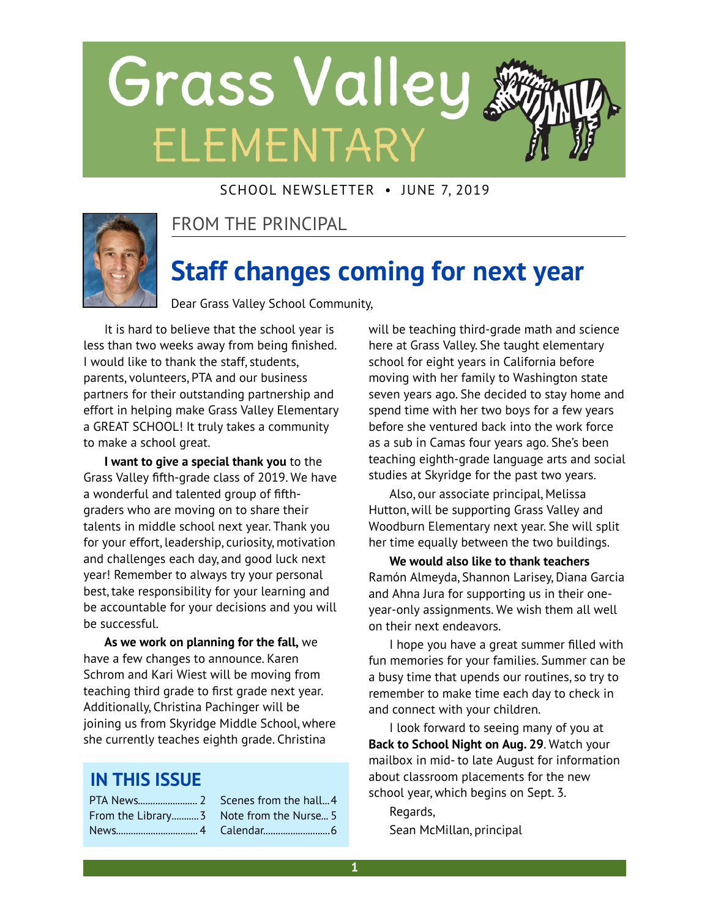

#### SCHOOL NEWSLETTER • JUNE 7, 2019



#### FROM THE PRINCIPAL

### **Staff changes coming for next year**

Dear Grass Valley School Community,

It is hard to believe that the school year is less than two weeks away from being finished. I would like to thank the staff, students, parents, volunteers, PTA and our business partners for their outstanding partnership and effort in helping make Grass Valley Elementary a GREAT SCHOOL! It truly takes a community to make a school great.

**I want to give a special thank you** to the Grass Valley fifth-grade class of 2019. We have a wonderful and talented group of fifthgraders who are moving on to share their talents in middle school next year. Thank you for your effort, leadership, curiosity, motivation and challenges each day, and good luck next year! Remember to always try your personal best, take responsibility for your learning and be accountable for your decisions and you will be successful.

**As we work on planning for the fall,** we have a few changes to announce. Karen Schrom and Kari Wiest will be moving from teaching third grade to first grade next year. Additionally, Christina Pachinger will be joining us from Skyridge Middle School, where she currently teaches eighth grade. Christina

#### **IN THIS ISSUE**

| From the Library 3 |  |
|--------------------|--|
|                    |  |

Scenes from the hall 4 Note from the Nurse... 5 Calendar 6 ........................... will be teaching third-grade math and science here at Grass Valley. She taught elementary school for eight years in California before moving with her family to Washington state seven years ago. She decided to stay home and spend time with her two boys for a few years before she ventured back into the work force as a sub in Camas four years ago. She's been teaching eighth-grade language arts and social studies at Skyridge for the past two years.

Also, our associate principal, Melissa Hutton, will be supporting Grass Valley and Woodburn Elementary next year. She will split her time equally between the two buildings.

**We would also like to thank teachers** Ramón Almeyda, Shannon Larisey, Diana Garcia and Ahna Jura for supporting us in their oneyear-only assignments. We wish them all well on their next endeavors.

I hope you have a great summer filled with fun memories for your families. Summer can be a busy time that upends our routines, so try to remember to make time each day to check in and connect with your children.

I look forward to seeing many of you at **Back to School Night on Aug. 29**. Watch your mailbox in mid- to late August for information about classroom placements for the new school year, which begins on Sept. 3.

Regards, Sean McMillan, principal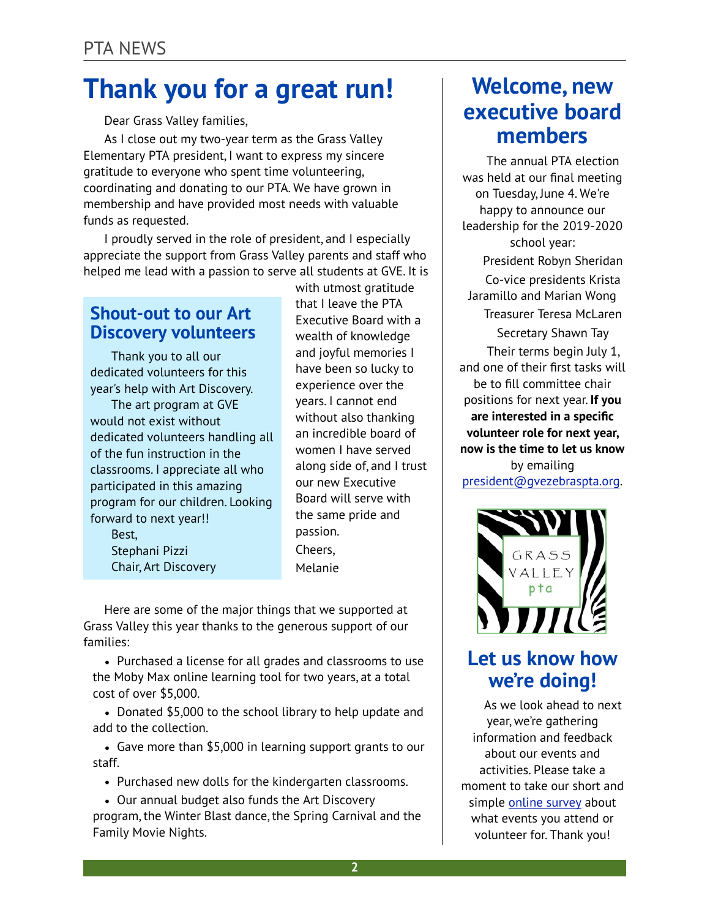### **Thank you for a great run!**

Dear Grass Valley families,

As I close out my two-year term as the Grass Valley Elementary PTA president, I want to express my sincere gratitude to everyone who spent time volunteering, coordinating and donating to our PTA. We have grown in membership and have provided most needs with valuable funds as requested.

I proudly served in the role of president, and I especially appreciate the support from Grass Valley parents and staff who helped me lead with a passion to serve all students at GVE. It is

### **Shout-out to our Art Discovery volunteers**

Thank you to all our dedicated volunteers for this year's help with Art Discovery.

The art program at GVE would not exist without dedicated volunteers handling all of the fun instruction in the classrooms. I appreciate all who participated in this amazing program for our children. Looking forward to next year!!

Best, Stephani Pizzi Chair, Art Discovery with utmost gratitude that I leave the PTA Executive Board with a wealth of knowledge and joyful memories I have been so lucky to experience over the years. I cannot end without also thanking an incredible board of women I have served along side of, and I trust our new Executive Board will serve with the same pride and passion. Cheers, Melanie

Here are some of the major things that we supported at Grass Valley this year thanks to the generous support of our families:

• Purchased a license for all grades and classrooms to use the Moby Max online learning tool for two years, at a total cost of over \$5,000.

• Donated \$5,000 to the school library to help update and add to the collection.

• Gave more than \$5,000 in learning support grants to our staff.

• Purchased new dolls for the kindergarten classrooms.

• Our annual budget also funds the Art Discovery program, the Winter Blast dance, the Spring Carnival and the Family Movie Nights.

### **Welcome, new executive board members**

The annual PTA election was held at our final meeting on Tuesday, June 4. We're happy to announce our leadership for the 2019-2020 school year: President Robyn Sheridan Co-vice presidents Krista Jaramillo and Marian Wong Treasurer Teresa McLaren Secretary Shawn Tay Their terms begin July 1, and one of their first tasks will be to fill committee chair positions for next year. **If you are interested in a specific volunteer role for next year, now is the time to let us know** by emailing [president@gvezebraspta.org.](mailto:president@gvezebraspta.org)



### **Let us know how we're doing!**

As we look ahead to next year, we're gathering information and feedback about our events and activities. Please take a moment to take our short and simple [online survey](https://www.surveymonkey.com/r/RGWW7JW) about what events you attend or volunteer for. Thank you!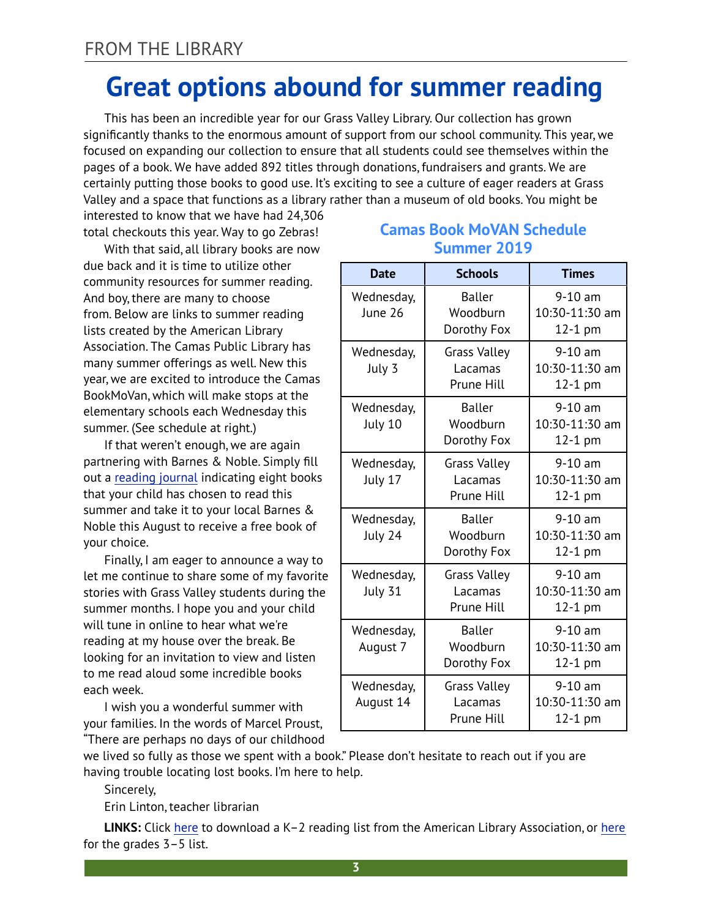### **Great options abound for summer reading**

This has been an incredible year for our Grass Valley Library. Our collection has grown significantly thanks to the enormous amount of support from our school community. This year, we focused on expanding our collection to ensure that all students could see themselves within the pages of a book. We have added 892 titles through donations, fundraisers and grants. We are certainly putting those books to good use. It's exciting to see a culture of eager readers at Grass Valley and a space that functions as a library rather than a museum of old books. You might be

interested to know that we have had 24,306 total checkouts this year. Way to go Zebras!

With that said, all library books are now due back and it is time to utilize other community resources for summer reading. And boy, there are many to choose from. Below are links to summer reading lists created by the American Library Association. The Camas Public Library has many summer offerings as well. New this year, we are excited to introduce the Camas BookMoVan, which will make stops at the elementary schools each Wednesday this summer. (See schedule at right.)

If that weren't enough, we are again partnering with Barnes & Noble. Simply fill out a [reading journal](https://dispatch.barnesandnoble.com/content/dam/ccr/pdf/2019/summer-reading/123233A-05-bn-tear-sheet-bndotcom.pdf) indicating eight books that your child has chosen to read this summer and take it to your local Barnes & Noble this August to receive a free book of your choice.

Finally, I am eager to announce a way to let me continue to share some of my favorite stories with Grass Valley students during the summer months. I hope you and your child will tune in online to hear what we're reading at my house over the break. Be looking for an invitation to view and listen to me read aloud some incredible books each week.

I wish you a wonderful summer with your families. In the words of Marcel Proust, "There are perhaps no days of our childhood

|             |  |  |  | <b>Camas Book MoVAN Schedule</b> |  |
|-------------|--|--|--|----------------------------------|--|
| Summer 2019 |  |  |  |                                  |  |

| <b>Date</b>             | <b>Schools</b>                               | <b>Times</b>                             |
|-------------------------|----------------------------------------------|------------------------------------------|
| Wednesday,<br>June 26   | <b>Baller</b><br>Woodburn<br>Dorothy Fox     | $9-10$ am<br>10:30-11:30 am<br>$12-1$ pm |
| Wednesday,<br>July 3    | <b>Grass Valley</b><br>Lacamas<br>Prune Hill | $9-10$ am<br>10:30-11:30 am<br>12-1 pm   |
| Wednesday,<br>July 10   | <b>Baller</b><br>Woodburn<br>Dorothy Fox     | $9-10$ am<br>10:30-11:30 am<br>12-1 pm   |
| Wednesday,<br>July 17   | <b>Grass Valley</b><br>Lacamas<br>Prune Hill | $9-10$ am<br>10:30-11:30 am<br>12-1 pm   |
| Wednesday,<br>July 24   | Baller<br>Woodburn<br>Dorothy Fox            | $9-10$ am<br>10:30-11:30 am<br>$12-1$ pm |
| Wednesday,<br>July 31   | <b>Grass Valley</b><br>Lacamas<br>Prune Hill | $9-10$ am<br>10:30-11:30 am<br>$12-1$ pm |
| Wednesday,<br>August 7  | Baller<br>Woodburn<br>Dorothy Fox            | $9-10$ am<br>10:30-11:30 am<br>$12-1$ pm |
| Wednesday,<br>August 14 | <b>Grass Valley</b><br>Lacamas<br>Prune Hill | $9-10$ am<br>10:30-11:30 am<br>$12-1$ pm |

we lived so fully as those we spent with a book." Please don't hesitate to reach out if you are having trouble locating lost books. I'm here to help.

Sincerely,

Erin Linton, teacher librarian

**LINKS:** Click [here](http://www.ala.org/alsc/sites/ala.org.alsc/files/content/compubs/booklists/summer/alsc-2019-summer-reading-list-gradesk-2.pdf) to download a K–2 reading list from the American Library Association, or [here](http://www.ala.org/alsc/sites/ala.org.alsc/files/content/compubs/booklists/summer/alsc-2019-summer-reading-list-grades3-5.pdf) for the grades 3–5 list.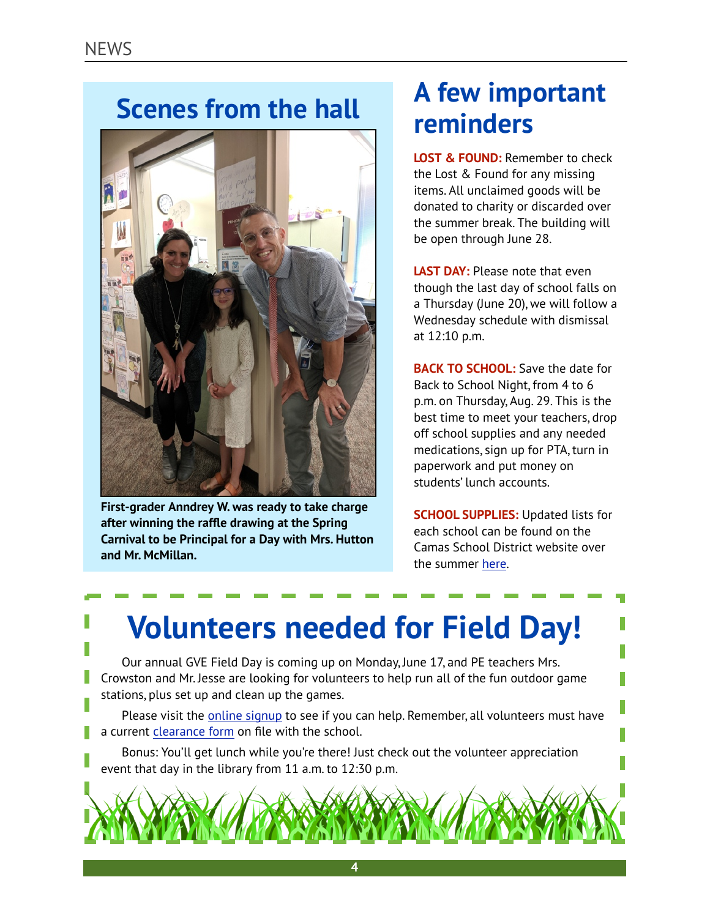# **Scenes from the hall**



**First-grader Anndrey W. was ready to take charge after winning the raffle drawing at the Spring Carnival to be Principal for a Day with Mrs. Hutton and Mr. McMillan.** 

## **A few important reminders**

**LOST & FOUND:** Remember to check the Lost & Found for any missing items. All unclaimed goods will be donated to charity or discarded over the summer break. The building will be open through June 28.

**LAST DAY:** Please note that even though the last day of school falls on a Thursday (June 20), we will follow a Wednesday schedule with dismissal at 12:10 p.m.

**BACK TO SCHOOL:** Save the date for Back to School Night, from 4 to 6 p.m. on Thursday, Aug. 29. This is the best time to meet your teachers, drop off school supplies and any needed medications, sign up for PTA, turn in paperwork and put money on students' lunch accounts.

**SCHOOL SUPPLIES:** Updated lists for each school can be found on the Camas School District website over the summer [here.](http://www.camas.wednet.edu/schools-resources/resources/school-supplies/)

# **Volunteers needed for Field Day!**

Our annual GVE Field Day is coming up on Monday, June 17, and PE teachers Mrs. Crowston and Mr. Jesse are looking for volunteers to help run all of the fun outdoor game stations, plus set up and clean up the games.

Please visit the [online signup](https://www.signupgenius.com/index.cfm?go=s.signup&urlid=60b0a4ea8a62ba75-field4&useFullSite=true) to see if you can help. Remember, all volunteers must have a current [clearance form](http://www.camas.wednet.edu/Camas2016/wp-content/uploads/2016/12/Volunteer_Application.pdf) on file with the school.

Bonus: You'll get lunch while you're there! Just check out the volunteer appreciation event that day in the library from 11 a.m. to 12:30 p.m.

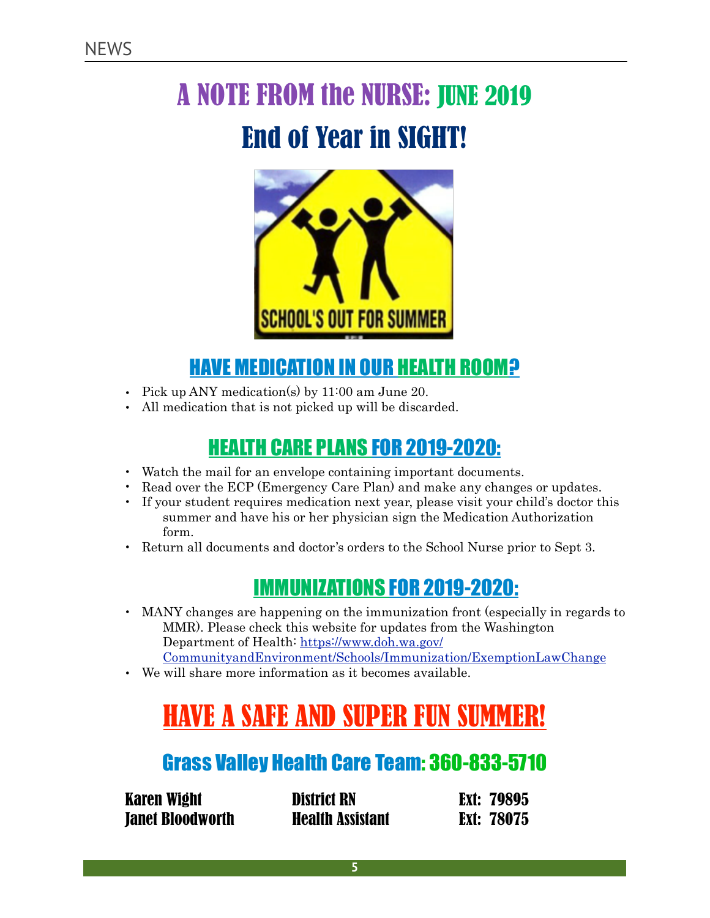# A NOTE FROM the NURSE: JUNE 2019

### End of Year in SIGHT!



### HAVE MEDICATION IN OUR HEALTH ROOM?

- Pick up ANY medication(s) by 11:00 am June 20.
- All medication that is not picked up will be discarded.

### HEALTH CARE PLANS FOR 2019-2020:

- Watch the mail for an envelope containing important documents.
- Read over the ECP (Emergency Care Plan) and make any changes or updates.
- If your student requires medication next year, please visit your child's doctor this summer and have his or her physician sign the Medication Authorization form.
- Return all documents and doctor's orders to the School Nurse prior to Sept 3.

### IMMUNIZATIONS FOR 2019-2020:

- MANY changes are happening on the immunization front (especially in regards to MMR). Please check this website for updates from the Washington Department of Health: [https://www.doh.wa.gov/](https://www.doh.wa.gov/CommunityandEnvironment/Schools/Immunization/ExemptionLawChange) [CommunityandEnvironment/Schools/Immunization/ExemptionLawChange](https://www.doh.wa.gov/CommunityandEnvironment/Schools/Immunization/ExemptionLawChange)
- We will share more information as it becomes available.

# HAVE A SAFE AND SUPER FUN SUMMER!

### Grass Valley Health Care Team: 360-833-5710

| <b>Karen Wight</b>      | <b>District RN</b>      | <b>Ext: 79895</b> |
|-------------------------|-------------------------|-------------------|
| <b>Janet Bloodworth</b> | <b>Health Assistant</b> | <b>Ext: 78075</b> |